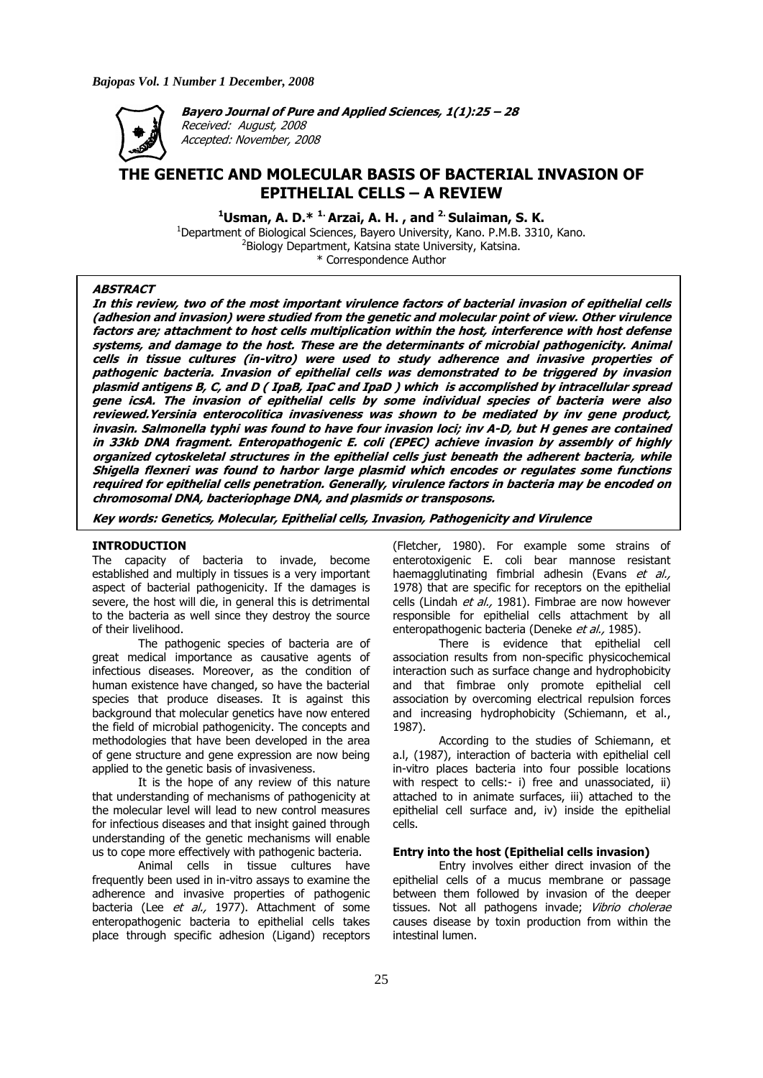

**Bayero Journal of Pure and Applied Sciences, 1(1):25 – 28**  Received: August, 2008 Accepted: November, 2008

# **THE GENETIC AND MOLECULAR BASIS OF BACTERIAL INVASION OF EPITHELIAL CELLS – A REVIEW**

<sup>1</sup> Usman, A. D.\* <sup>1.</sup> Arzai, A. H., and <sup>2.</sup> Sulaiman, S. K.

<sup>1</sup>Department of Biological Sciences, Bayero University, Kano. P.M.B. 3310, Kano. <sup>2</sup>Biology Department, Katsina state University, Katsina. \* Correspondence Author

## **ABSTRACT**

**In this review, two of the most important virulence factors of bacterial invasion of epithelial cells (adhesion and invasion) were studied from the genetic and molecular point of view. Other virulence factors are; attachment to host cells multiplication within the host, interference with host defense systems, and damage to the host. These are the determinants of microbial pathogenicity. Animal cells in tissue cultures (in-vitro) were used to study adherence and invasive properties of pathogenic bacteria. Invasion of epithelial cells was demonstrated to be triggered by invasion plasmid antigens B, C, and D ( IpaB, IpaC and IpaD ) which is accomplished by intracellular spread gene icsA. The invasion of epithelial cells by some individual species of bacteria were also reviewed.Yersinia enterocolitica invasiveness was shown to be mediated by inv gene product, invasin. Salmonella typhi was found to have four invasion loci; inv A-D, but H genes are contained in 33kb DNA fragment. Enteropathogenic E. coli (EPEC) achieve invasion by assembly of highly organized cytoskeletal structures in the epithelial cells just beneath the adherent bacteria, while Shigella flexneri was found to harbor large plasmid which encodes or regulates some functions required for epithelial cells penetration. Generally, virulence factors in bacteria may be encoded on chromosomal DNA, bacteriophage DNA, and plasmids or transposons.** 

**Key words: Genetics, Molecular, Epithelial cells, Invasion, Pathogenicity and Virulence** 

#### **INTRODUCTION**

The capacity of bacteria to invade, become established and multiply in tissues is a very important aspect of bacterial pathogenicity. If the damages is severe, the host will die, in general this is detrimental to the bacteria as well since they destroy the source of their livelihood.

 The pathogenic species of bacteria are of great medical importance as causative agents of infectious diseases. Moreover, as the condition of human existence have changed, so have the bacterial species that produce diseases. It is against this background that molecular genetics have now entered the field of microbial pathogenicity. The concepts and methodologies that have been developed in the area of gene structure and gene expression are now being applied to the genetic basis of invasiveness.

 It is the hope of any review of this nature that understanding of mechanisms of pathogenicity at the molecular level will lead to new control measures for infectious diseases and that insight gained through understanding of the genetic mechanisms will enable us to cope more effectively with pathogenic bacteria.

 Animal cells in tissue cultures have frequently been used in in-vitro assays to examine the adherence and invasive properties of pathogenic bacteria (Lee et al., 1977). Attachment of some enteropathogenic bacteria to epithelial cells takes place through specific adhesion (Ligand) receptors

(Fletcher, 1980). For example some strains of enterotoxigenic E. coli bear mannose resistant haemagglutinating fimbrial adhesin (Evans et al., 1978) that are specific for receptors on the epithelial cells (Lindah et al., 1981). Fimbrae are now however responsible for epithelial cells attachment by all enteropathogenic bacteria (Deneke et al., 1985).

 There is evidence that epithelial cell association results from non-specific physicochemical interaction such as surface change and hydrophobicity and that fimbrae only promote epithelial cell association by overcoming electrical repulsion forces and increasing hydrophobicity (Schiemann, et al., 1987).

 According to the studies of Schiemann, et a.l, (1987), interaction of bacteria with epithelial cell in-vitro places bacteria into four possible locations with respect to cells:- i) free and unassociated, ii) attached to in animate surfaces, iii) attached to the epithelial cell surface and, iv) inside the epithelial cells.

# **Entry into the host (Epithelial cells invasion)**

 Entry involves either direct invasion of the epithelial cells of a mucus membrane or passage between them followed by invasion of the deeper tissues. Not all pathogens invade; Vibrio cholerae causes disease by toxin production from within the intestinal lumen.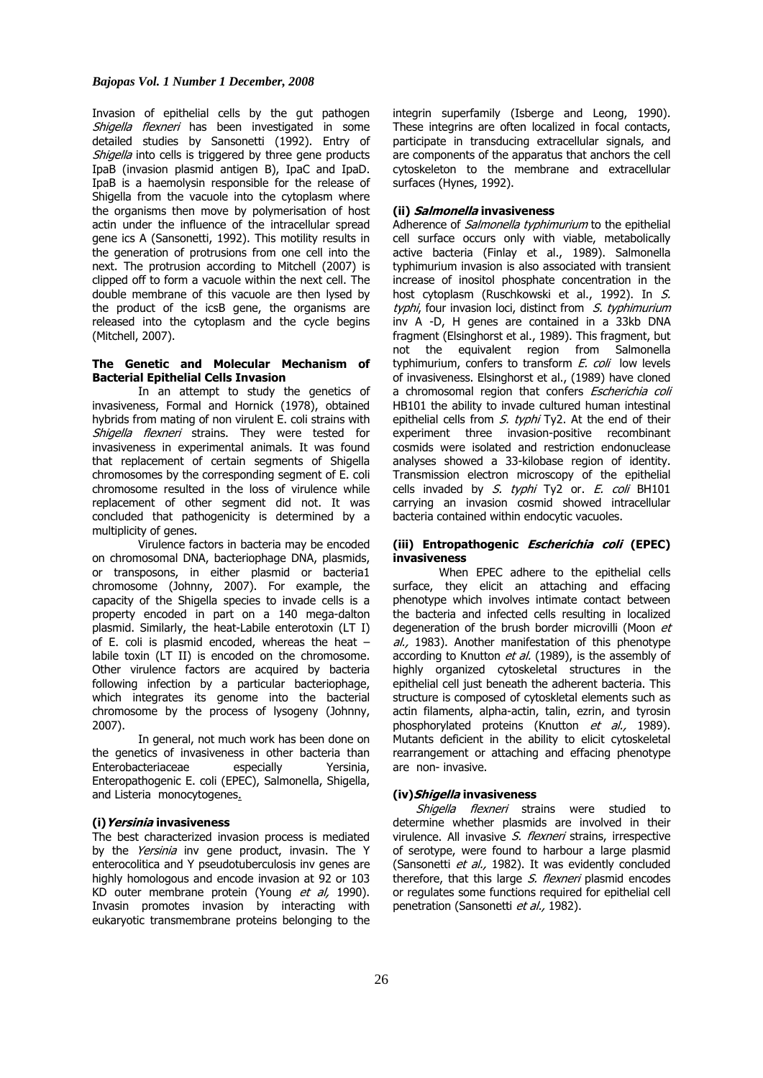# *Bajopas Vol. 1 Number 1 December, 2008*

Invasion of epithelial cells by the gut pathogen Shigella flexneri has been investigated in some detailed studies by Sansonetti (1992). Entry of Shigella into cells is triggered by three gene products IpaB (invasion plasmid antigen B), IpaC and IpaD. IpaB is a haemolysin responsible for the release of Shigella from the vacuole into the cytoplasm where the organisms then move by polymerisation of host actin under the influence of the intracellular spread gene ics A (Sansonetti, 1992). This motility results in the generation of protrusions from one cell into the next. The protrusion according to Mitchell (2007) is clipped off to form a vacuole within the next cell. The double membrane of this vacuole are then lysed by the product of the icsB gene, the organisms are released into the cytoplasm and the cycle begins (Mitchell, 2007).

# **The Genetic and Molecular Mechanism of Bacterial Epithelial Cells Invasion**

 In an attempt to study the genetics of invasiveness, Formal and Hornick (1978), obtained hybrids from mating of non virulent E. coli strains with Shigella flexneri strains. They were tested for invasiveness in experimental animals. It was found that replacement of certain segments of Shigella chromosomes by the corresponding segment of E. coli chromosome resulted in the loss of virulence while replacement of other segment did not. It was concluded that pathogenicity is determined by a multiplicity of genes.

 Virulence factors in bacteria may be encoded on chromosomal DNA, bacteriophage DNA, plasmids, or transposons, in either plasmid or bacteria1 chromosome (Johnny, 2007). For example, the capacity of the Shigella species to invade cells is a property encoded in part on a 140 mega-dalton plasmid. Similarly, the heat-Labile enterotoxin (LT I) of E. coli is plasmid encoded, whereas the heat – labile toxin (LT II) is encoded on the chromosome. Other virulence factors are acquired by bacteria following infection by a particular bacteriophage, which integrates its genome into the bacterial chromosome by the process of lysogeny (Johnny, 2007).

 In general, not much work has been done on the genetics of invasiveness in other bacteria than Enterobacteriaceae especially Yersinia, Enteropathogenic E. coli (EPEC), Salmonella, Shigella, and Listeria monocytogenes.

## **(i)Yersinia invasiveness**

The best characterized invasion process is mediated by the Yersinia inv gene product, invasin. The Y enterocolitica and Y pseudotuberculosis inv genes are highly homologous and encode invasion at 92 or 103 KD outer membrane protein (Young et al, 1990). Invasin promotes invasion by interacting with eukaryotic transmembrane proteins belonging to the

integrin superfamily (Isberge and Leong, 1990). These integrins are often localized in focal contacts, participate in transducing extracellular signals, and are components of the apparatus that anchors the cell cytoskeleton to the membrane and extracellular surfaces (Hynes, 1992).

## **(ii) Salmonella invasiveness**

Adherence of *Salmonella typhimurium* to the epithelial cell surface occurs only with viable, metabolically active bacteria (Finlay et al., 1989). Salmonella typhimurium invasion is also associated with transient increase of inositol phosphate concentration in the host cytoplasm (Ruschkowski et al., 1992). In S. typhi, four invasion loci, distinct from S. typhimurium inv A -D, H genes are contained in a 33kb DNA fragment (Elsinghorst et al., 1989). This fragment, but not the equivalent region from Salmonella typhimurium, confers to transform  $E$ , coli low levels of invasiveness. Elsinghorst et al., (1989) have cloned a chromosomal region that confers Escherichia coli HB101 the ability to invade cultured human intestinal epithelial cells from S. typhi Ty2. At the end of their experiment three invasion-positive recombinant cosmids were isolated and restriction endonuclease analyses showed a 33-kilobase region of identity. Transmission electron microscopy of the epithelial cells invaded by S. typhi Ty2 or. E. coli BH101 carrying an invasion cosmid showed intracellular bacteria contained within endocytic vacuoles.

# **(iii) Entropathogenic Escherichia coli (EPEC) invasiveness**

When EPEC adhere to the epithelial cells surface, they elicit an attaching and effacing phenotype which involves intimate contact between the bacteria and infected cells resulting in localized degeneration of the brush border microvilli (Moon et al., 1983). Another manifestation of this phenotype according to Knutton et al. (1989), is the assembly of highly organized cytoskeletal structures in the epithelial cell just beneath the adherent bacteria. This structure is composed of cytoskletal elements such as actin filaments, alpha-actin, talin, ezrin, and tyrosin phosphorylated proteins (Knutton et al., 1989). Mutants deficient in the ability to elicit cytoskeletal rearrangement or attaching and effacing phenotype are non- invasive.

#### **(iv)Shigella invasiveness**

Shigella flexneri strains were studied to determine whether plasmids are involved in their virulence. All invasive S. flexneri strains, irrespective of serotype, were found to harbour a large plasmid (Sansonetti et al., 1982). It was evidently concluded therefore, that this large S. flexneri plasmid encodes or regulates some functions required for epithelial cell penetration (Sansonetti et al., 1982).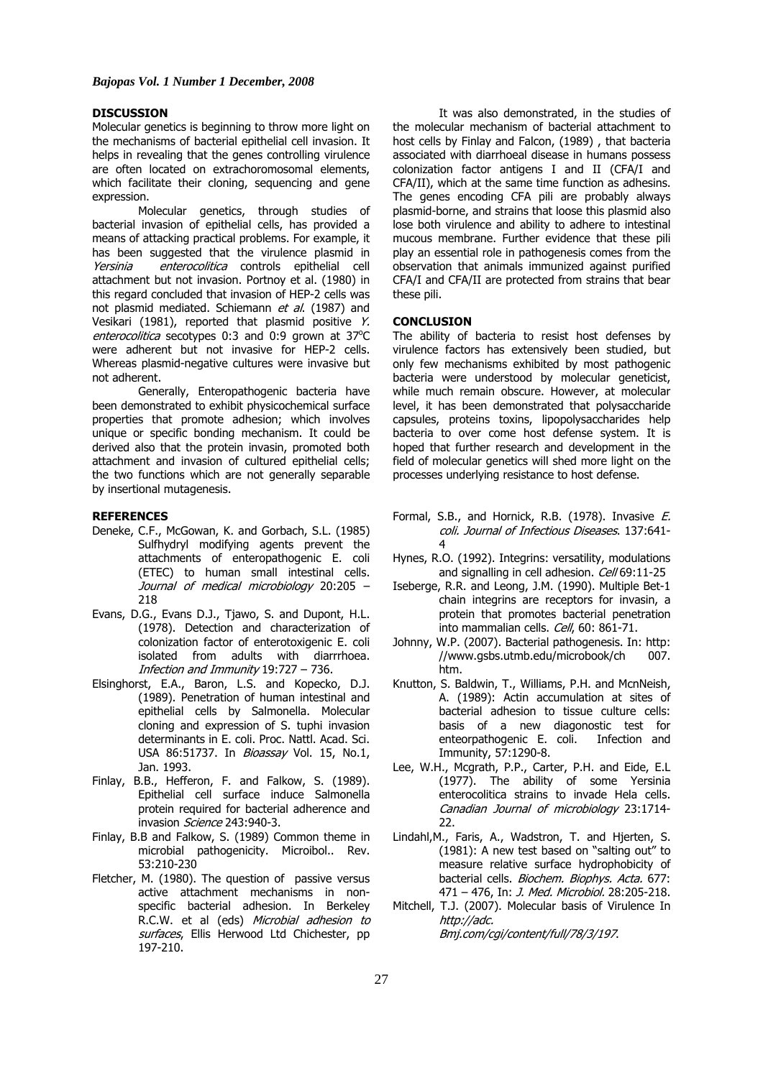### **DISCUSSION**

Molecular genetics is beginning to throw more light on the mechanisms of bacterial epithelial cell invasion. It helps in revealing that the genes controlling virulence are often located on extrachoromosomal elements, which facilitate their cloning, sequencing and gene expression.

Molecular genetics, through studies of bacterial invasion of epithelial cells, has provided a means of attacking practical problems. For example, it has been suggested that the virulence plasmid in Yersinia enterocolitica controls epithelial cell attachment but not invasion. Portnoy et al. (1980) in this regard concluded that invasion of HEP-2 cells was not plasmid mediated. Schiemann et al. (1987) and Vesikari (1981), reported that plasmid positive Y. enterocolitica secotypes 0:3 and 0:9 grown at 37°C were adherent but not invasive for HEP-2 cells. Whereas plasmid-negative cultures were invasive but not adherent.

 Generally, Enteropathogenic bacteria have been demonstrated to exhibit physicochemical surface properties that promote adhesion; which involves unique or specific bonding mechanism. It could be derived also that the protein invasin, promoted both attachment and invasion of cultured epithelial cells; the two functions which are not generally separable by insertional mutagenesis.

#### **REFERENCES**

- Deneke, C.F., McGowan, K. and Gorbach, S.L. (1985) Sulfhydryl modifying agents prevent the attachments of enteropathogenic E. coli (ETEC) to human small intestinal cells. Journal of medical microbiology 20:205 – 218
- Evans, D.G., Evans D.J., Tjawo, S. and Dupont, H.L. (1978). Detection and characterization of colonization factor of enterotoxigenic E. coli isolated from adults with diarrrhoea. Infection and Immunity 19:727 – 736.
- Elsinghorst, E.A., Baron, L.S. and Kopecko, D.J. (1989). Penetration of human intestinal and epithelial cells by Salmonella. Molecular cloning and expression of S. tuphi invasion determinants in E. coli. Proc. Nattl. Acad. Sci. USA 86:51737. In *Bioassay* Vol. 15, No.1, Jan. 1993.
- Finlay, B.B., Hefferon, F. and Falkow, S. (1989). Epithelial cell surface induce Salmonella protein required for bacterial adherence and invasion Science 243:940-3.
- Finlay, B.B and Falkow, S. (1989) Common theme in microbial pathogenicity. Microibol.. Rev. 53:210-230
- Fletcher, M. (1980). The question of passive versus active attachment mechanisms in nonspecific bacterial adhesion. In Berkeley R.C.W. et al (eds) Microbial adhesion to surfaces, Ellis Herwood Ltd Chichester, pp 197-210.

It was also demonstrated, in the studies of the molecular mechanism of bacterial attachment to host cells by Finlay and Falcon, (1989) , that bacteria associated with diarrhoeal disease in humans possess colonization factor antigens I and II (CFA/I and CFA/II), which at the same time function as adhesins. The genes encoding CFA pili are probably always plasmid-borne, and strains that loose this plasmid also lose both virulence and ability to adhere to intestinal mucous membrane. Further evidence that these pili play an essential role in pathogenesis comes from the observation that animals immunized against purified CFA/I and CFA/II are protected from strains that bear these pili.

#### **CONCLUSION**

The ability of bacteria to resist host defenses by virulence factors has extensively been studied, but only few mechanisms exhibited by most pathogenic bacteria were understood by molecular geneticist, while much remain obscure. However, at molecular level, it has been demonstrated that polysaccharide capsules, proteins toxins, lipopolysaccharides help bacteria to over come host defense system. It is hoped that further research and development in the field of molecular genetics will shed more light on the processes underlying resistance to host defense.

- Formal, S.B., and Hornick, R.B. (1978). Invasive E. coli. Journal of Infectious Diseases. 137:641- 4
- Hynes, R.O. (1992). Integrins: versatility, modulations and signalling in cell adhesion. Cell 69:11-25
- Iseberge, R.R. and Leong, J.M. (1990). Multiple Bet-1 chain integrins are receptors for invasin, a protein that promotes bacterial penetration into mammalian cells. Cell, 60: 861-71.
- Johnny, W.P. (2007). Bacterial pathogenesis. In: http: //www.gsbs.utmb.edu/microbook/ch 007. htm.
- Knutton, S. Baldwin, T., Williams, P.H. and McnNeish, A. (1989): Actin accumulation at sites of bacterial adhesion to tissue culture cells: basis of a new diagonostic test for enteorpathogenic E. coli. Infection and Immunity, 57:1290-8.
- Lee, W.H., Mcgrath, P.P., Carter, P.H. and Eide, E.L (1977). The ability of some Yersinia enterocolitica strains to invade Hela cells. Canadian Journal of microbiology 23:1714- 22.
- Lindahl,M., Faris, A., Wadstron, T. and Hjerten, S. (1981): A new test based on "salting out" to measure relative surface hydrophobicity of bacterial cells. Biochem. Biophys. Acta. 677: 471 – 476, In: J. Med. Microbiol. 28:205-218.
- Mitchell, T.J. (2007). Molecular basis of Virulence In http://adc. Bmj.com/cgi/content/full/78/3/197.